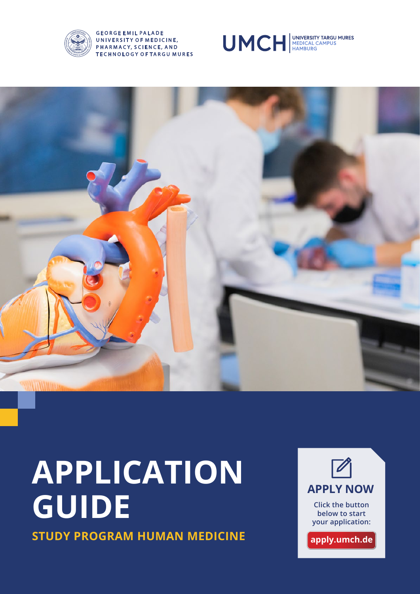

#### **GEORGE EMIL PALADE** UNIVERSITY OF MEDICINE, PHARMACY, SCIENCE, AND **TECHNOLOGY OF TARGU MURES**





# **APPLICATION GUIDE STUDY PROGRAM HUMAN MEDICINE**

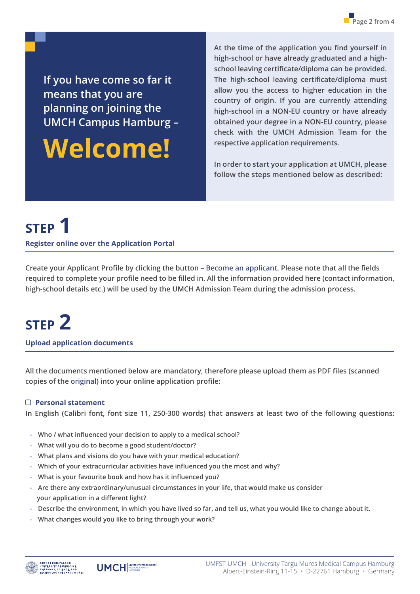**If you have come so far it means that you are planning on joining the UMCH Campus Hamburg –** 

## **Welcome!**

**At the time of the application you find yourself in high-school or have already graduated and a highschool leaving certificate/diploma can be provided. The high-school leaving certificate/diploma must allow you the access to higher education in the country of origin. If you are currently attending high-school in a NON-EU country or have already obtained your degree in a NON-EU country, please check with the UMCH Admission Team for the respective application requirements.**

**In order to start your application at UMCH, please follow the steps mentioned below as described:**

### **STEP 1**

**Register online over the Application Portal** 

**Create your Applicant Profile by clicking the button – [Become an applicant](https://apply.umch.de/). Please note that all the fields required to complete your profile need to be filled in. All the information provided here (contact information, high-school details etc.) will be used by the UMCH Admission Team during the admission process.**

### **STEP 2**

**Upload application documents** 

**All the documents mentioned below are mandatory, therefore please upload them as PDF files (scanned copies of the original) into your online application profile:**

### **Personal statement**

**In English (Calibri font, font size 11, 250-300 words) that answers at least two of the following questions:**

- **Who / what influenced your decision to apply to a medical school?**
- **What will you do to become a good student/doctor?**
- **What plans and visions do you have with your medical education?**
- **Which of your extracurricular activities have influenced you the most and why?**
- **What is your favourite book and how has it influenced you?**
- **Are there any extraordinary/unusual circumstances in your life, that would make us consider your application in a different light?**
- **Describe the environment, in which you have lived so far, and tell us, what you would like to change about it.**
- **What changes would you like to bring through your work?**



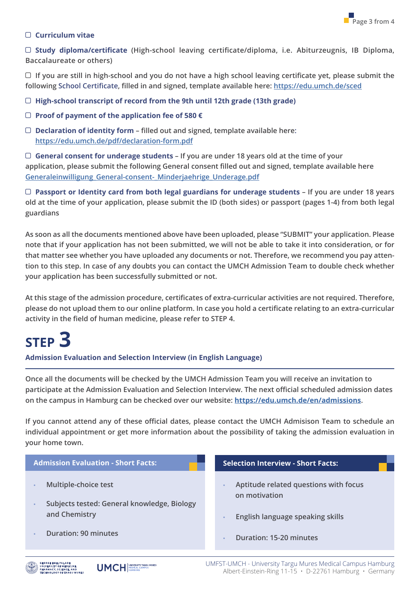#### **Curriculum vitae**

 **Study diploma/certificate (High-school leaving certificate/diploma, i.e. Abiturzeugnis, IB Diploma, Baccalaureate or others)**

 **If you are still in high-school and you do not have a high school leaving certificate yet, please submit the following School Certificate, filled in and signed, template available here: [https://edu.umch.de/sced](https://edu.umch.de/wp-content/uploads/2022/06/CERTIFICATE-1.pdf)**

**High-school transcript of record from the 9th until 12th grade (13th grade)**

- **Proof of payment of the application fee of 580 €**
- **Declaration of identity form filled out and signed, template available here: [https://edu.umch.de/pdf/declaration-form.pdf](https://edu.umch.de/wp-content/uploads/2022/06/Declaration-1.pdf)**

 **General consent for underage students – If you are under 18 years old at the time of your application, please submit the following General consent filled out and signed, template available here [Generaleinwilligung\\_General-consent-\\_Minderjaehrige\\_Underage.pdf](https://edu.umch.de/wp-content/uploads/2022/06/General-consent-for-underage-students-1.pdf)**

 **Passport or Identity card from both legal guardians for underage students – If you are under 18 years old at the time of your application, please submit the ID (both sides) or passport (pages 1-4) from both legal guardians**

**As soon as all the documents mentioned above have been uploaded, please "SUBMIT" your application. Please note that if your application has not been submitted, we will not be able to take it into consideration, or for that matter see whether you have uploaded any documents or not. Therefore, we recommend you pay attention to this step. In case of any doubts you can contact the UMCH Admission Team to double check whether your application has been successfully submitted or not.**

**At this stage of the admission procedure, certificates of extra-curricular activities are not required. Therefore, please do not upload them to our online platform. In case you hold a certificate relating to an extra-curricular activity in the field of human medicine, please refer to STEP 4.**

## **STEP 3**

**Admission Evaluation and Selection Interview (in English Language)**

**Once all the documents will be checked by the UMCH Admission Team you will receive an invitation to participate at the Admission Evaluation and Selection Interview. The next official scheduled admission dates on the campus in Hamburg can be checked over our website: <https://edu.umch.de/en/admissions>.**

**If you cannot attend any of these official dates, please contact the UMCH Admisison Team to schedule an individual appointment or get more information about the possibility of taking the admission evaluation in your home town.**

| <b>Admission Evaluation - Short Facts:</b>                          | <b>Selection Interview - Short Facts:</b>              |
|---------------------------------------------------------------------|--------------------------------------------------------|
| Multiple-choice test<br>Subjects tested: General knowledge, Biology | Aptitude related questions with focus<br>on motivation |
| and Chemistry                                                       | English language speaking skills                       |
| <b>Duration: 90 minutes</b>                                         | <b>Duration: 15-20 minutes</b>                         |
|                                                                     |                                                        |



UMFST-UMCH - University Targu Mures Medical Campus Hamburg Albert-Einstein-Ring 11-15 • D-22761 Hamburg • Germany